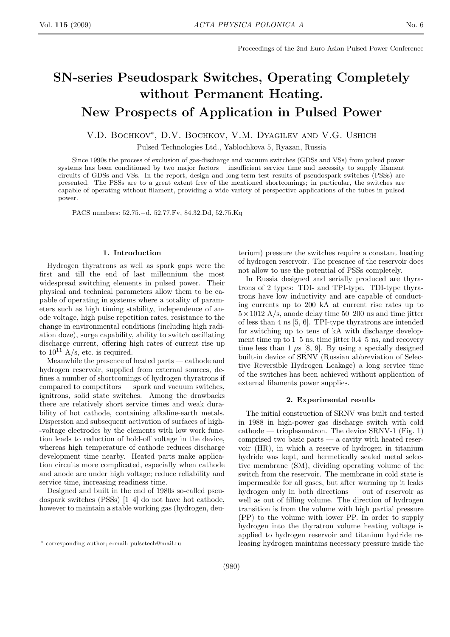# SN-series Pseudospark Switches, Operating Completely without Permanent Heating. New Prospects of Application in Pulsed Power

# V.D. Bochkov<sup>∗</sup> , D.V. Bochkov, V.M. Dyagilev and V.G. Ushich

Pulsed Technologies Ltd., Yablochkova 5, Ryazan, Russia

Since 1990s the process of exclusion of gas-discharge and vacuum switches (GDSs and VSs) from pulsed power systems has been conditioned by two major factors – insufficient service time and necessity to supply filament circuits of GDSs and VSs. In the report, design and long-term test results of pseudospark switches (PSSs) are presented. The PSSs are to a great extent free of the mentioned shortcomings; in particular, the switches are capable of operating without filament, providing a wide variety of perspective applications of the tubes in pulsed power.

PACS numbers: 52.75.−d, 52.77.Fv, 84.32.Dd, 52.75.Kq

## 1. Introduction

Hydrogen thyratrons as well as spark gaps were the first and till the end of last millennium the most widespread switching elements in pulsed power. Their physical and technical parameters allow them to be capable of operating in systems where a totality of parameters such as high timing stability, independence of anode voltage, high pulse repetition rates, resistance to the change in environmental conditions (including high radiation doze), surge capability, ability to switch oscillating discharge current, offering high rates of current rise up to  $10^{11}$  A/s, etc. is required.

Meanwhile the presence of heated parts — cathode and hydrogen reservoir, supplied from external sources, defines a number of shortcomings of hydrogen thyratrons if compared to competitors — spark and vacuum switches, ignitrons, solid state switches. Among the drawbacks there are relatively short service times and weak durability of hot cathode, containing alkaline-earth metals. Dispersion and subsequent activation of surfaces of high- -voltage electrodes by the elements with low work function leads to reduction of hold-off voltage in the device, whereas high temperature of cathode reduces discharge development time nearby. Heated parts make application circuits more complicated, especially when cathode and anode are under high voltage; reduce reliability and service time, increasing readiness time.

Designed and built in the end of 1980s so-called pseudospark switches (PSSs) [1–4] do not have hot cathode, however to maintain a stable working gas (hydrogen, deuterium) pressure the switches require a constant heating of hydrogen reservoir. The presence of the reservoir does not allow to use the potential of PSSs completely.

In Russia designed and serially produced are thyratrons of 2 types: TDI- and TPI-type. TDI-type thyratrons have low inductivity and are capable of conducting currents up to 200 kA at current rise rates up to  $5 \times 1012$  A/s, anode delay time 50–200 ns and time jitter of less than 4 ns [5, 6]. TPI-type thyratrons are intended for switching up to tens of kA with discharge development time up to 1–5 ns, time jitter 0.4–5 ns, and recovery time less than 1  $\mu$ s [8, 9]. By using a specially designed built-in device of SRNV (Russian abbreviation of Selective Reversible Hydrogen Leakage) a long service time of the switches has been achieved without application of external filaments power supplies.

#### 2. Experimental results

The initial construction of SRNV was built and tested in 1988 in high-power gas discharge switch with cold  $\text{cathode} \longrightarrow \text{trioplasmatron}$ . The device SRNV-1 (Fig. 1) comprised two basic parts  $-$  a cavity with heated reservoir (HR), in which a reserve of hydrogen in titanium hydride was kept, and hermetically sealed metal selective membrane (SM), dividing operating volume of the switch from the reservoir. The membrane in cold state is impermeable for all gases, but after warming up it leaks hydrogen only in both directions — out of reservoir as well as out of filling volume. The direction of hydrogen transition is from the volume with high partial pressure (PP) to the volume with lower PP. In order to supply hydrogen into the thyratron volume heating voltage is applied to hydrogen reservoir and titanium hydride releasing hydrogen maintains necessary pressure inside the

<sup>∗</sup> corresponding author; e-mail: pulsetech@mail.ru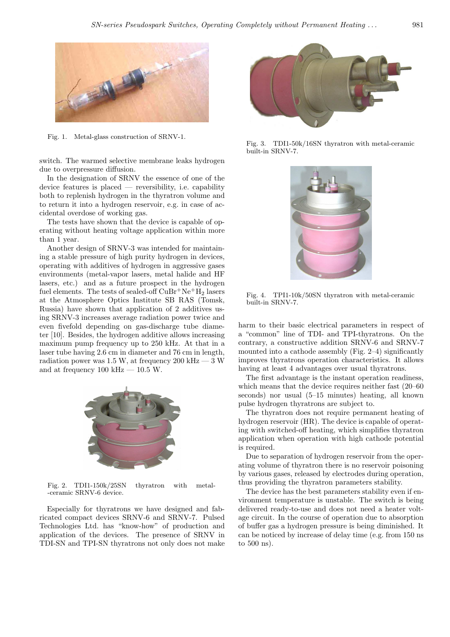

Fig. 1. Metal-glass construction of SRNV-1.

switch. The warmed selective membrane leaks hydrogen due to overpressure diffusion.

In the designation of SRNV the essence of one of the device features is placed — reversibility, i.e. capability both to replenish hydrogen in the thyratron volume and to return it into a hydrogen reservoir, e.g. in case of accidental overdose of working gas.

The tests have shown that the device is capable of operating without heating voltage application within more than 1 year.

Another design of SRNV-3 was intended for maintaining a stable pressure of high purity hydrogen in devices, operating with additives of hydrogen in aggressive gases environments (metal-vapor lasers, metal halide and HF lasers, etc.) and as a future prospect in the hydrogen fuel elements. The tests of sealed-off  $CuBr^+Ne^+H_2$  lasers at the Atmosphere Optics Institute SB RAS (Tomsk, Russia) have shown that application of 2 additives using SRNV-3 increases average radiation power twice and even fivefold depending on gas-discharge tube diameter [10]. Besides, the hydrogen additive allows increasing maximum pump frequency up to 250 kHz. At that in a laser tube having 2.6 cm in diameter and 76 cm in length, radiation power was 1.5 W, at frequency 200 kHz  $-3$  W and at frequency  $100 \text{ kHz} - 10.5 \text{ W}$ .



Fig. 2. TDI1-150k/25SN thyratron with metal- -ceramic SRNV-6 device.

Especially for thyratrons we have designed and fabricated compact devices SRNV-6 and SRNV-7. Pulsed Technologies Ltd. has "know-how" of production and application of the devices. The presence of SRNV in TDI-SN and TPI-SN thyratrons not only does not make



Fig. 3. TDI1-50k/16SN thyratron with metal-ceramic built-in SRNV-7.



Fig. 4. TPI1-10k/50SN thyratron with metal-ceramic built-in SRNV-7.

harm to their basic electrical parameters in respect of a "common" line of TDI- and TPI-thyratrons. On the contrary, a constructive addition SRNV-6 and SRNV-7 mounted into a cathode assembly (Fig. 2–4) significantly improves thyratrons operation characteristics. It allows having at least 4 advantages over usual thyratrons.

The first advantage is the instant operation readiness, which means that the device requires neither fast  $(20-60)$ seconds) nor usual (5–15 minutes) heating, all known pulse hydrogen thyratrons are subject to.

The thyratron does not require permanent heating of hydrogen reservoir (HR). The device is capable of operating with switched-off heating, which simplifies thyratron application when operation with high cathode potential is required.

Due to separation of hydrogen reservoir from the operating volume of thyratron there is no reservoir poisoning by various gases, released by electrodes during operation, thus providing the thyratron parameters stability.

The device has the best parameters stability even if environment temperature is unstable. The switch is being delivered ready-to-use and does not need a heater voltage circuit. In the course of operation due to absorption of buffer gas a hydrogen pressure is being diminished. It can be noticed by increase of delay time (e.g. from 150 ns to 500 ns).